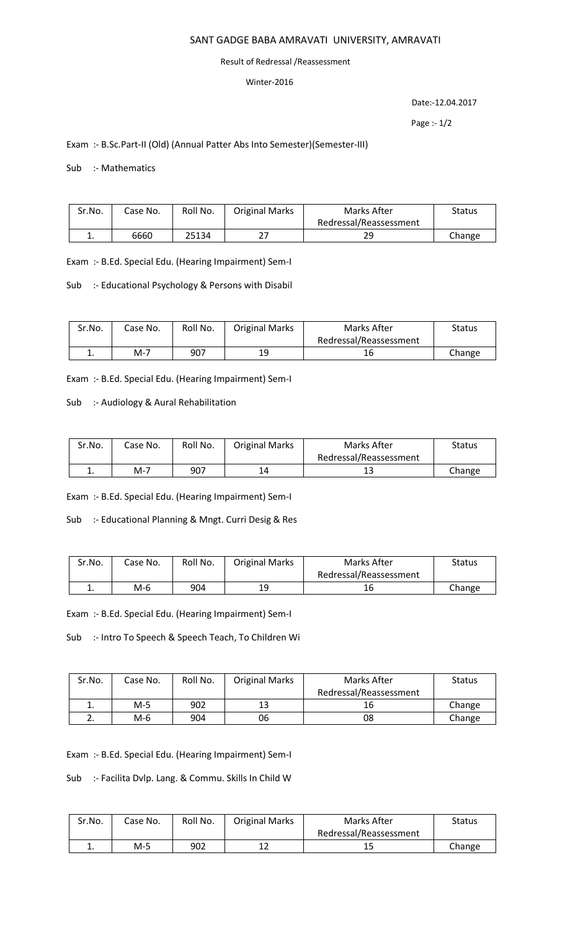# SANT GADGE BABA AMRAVATI UNIVERSITY, AMRAVATI

#### Result of Redressal /Reassessment

## Winter-2016

Date:-12.04.2017

Page :- 1/2

# Exam :- B.Sc.Part-II (Old) (Annual Patter Abs Into Semester)(Semester-III)

### Sub :- Mathematics

| Sr.No. | Case No. | Roll No. | <b>Original Marks</b> | Marks After            | Status |
|--------|----------|----------|-----------------------|------------------------|--------|
|        |          |          |                       | Redressal/Reassessment |        |
|        | 6660     | 25134    | วว                    | 2S                     | Change |

Exam :- B.Ed. Special Edu. (Hearing Impairment) Sem-I

Sub :- Educational Psychology & Persons with Disabil

| Sr.No. | Case No. | Roll No. | <b>Original Marks</b> | Marks After            | <b>Status</b> |
|--------|----------|----------|-----------------------|------------------------|---------------|
|        |          |          |                       | Redressal/Reassessment |               |
| ᆠ.     | M-7      | 907      | 19                    |                        | Change        |

Exam :- B.Ed. Special Edu. (Hearing Impairment) Sem-I

Sub :- Audiology & Aural Rehabilitation

| Sr.No. | Case No. | Roll No. | <b>Original Marks</b> | Marks After            | <b>Status</b> |
|--------|----------|----------|-----------------------|------------------------|---------------|
|        |          |          |                       | Redressal/Reassessment |               |
|        | M-7      | 907      | 14                    | ⊥こ                     | Change        |

Exam :- B.Ed. Special Edu. (Hearing Impairment) Sem-I

Sub :- Educational Planning & Mngt. Curri Desig & Res

| Sr.No. | Case No. | Roll No. | <b>Original Marks</b> | Marks After            | Status |
|--------|----------|----------|-----------------------|------------------------|--------|
|        |          |          |                       | Redressal/Reassessment |        |
|        | M-6      | 904      | 19                    | 16                     | Change |

Exam :- B.Ed. Special Edu. (Hearing Impairment) Sem-I

Sub :- Intro To Speech & Speech Teach, To Children Wi

| Sr.No. | Case No. | Roll No. | <b>Original Marks</b> | Marks After            | <b>Status</b> |
|--------|----------|----------|-----------------------|------------------------|---------------|
|        |          |          |                       | Redressal/Reassessment |               |
| ∸.     | M-5      | 902      | 13                    | 16                     | Change        |
|        | M-6      | 904      | 06                    | 08                     | Change        |

Exam :- B.Ed. Special Edu. (Hearing Impairment) Sem-I

Sub :- Facilita Dvlp. Lang. & Commu. Skills In Child W

| Sr.No. | Case No. | Roll No. | <b>Original Marks</b> | Marks After            | <b>Status</b> |
|--------|----------|----------|-----------------------|------------------------|---------------|
|        |          |          |                       | Redressal/Reassessment |               |
| . .    | M-5      | 902      |                       | ᅩ                      | Change        |